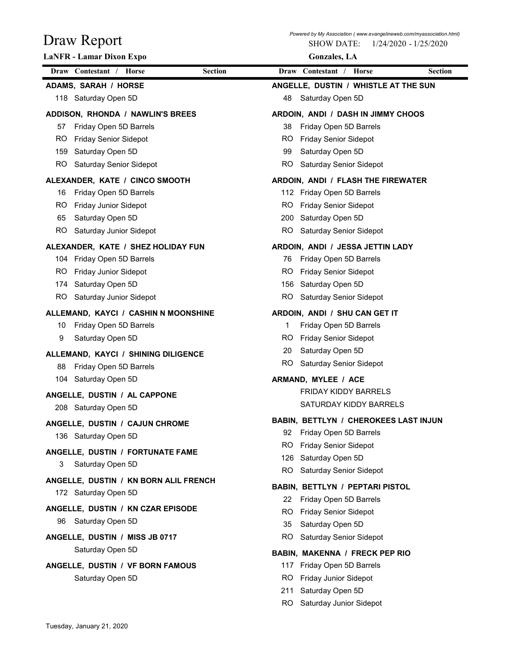| Draw Report                                              | <b>SHOW DATE:</b><br>1/24/2020 - 1/25/2020                         |
|----------------------------------------------------------|--------------------------------------------------------------------|
| <b>LaNFR</b> - Lamar Dixon Expo                          | <b>Gonzales</b> , LA                                               |
| Draw Contestant / Horse<br><b>Section</b>                | Draw Contestant / Horse<br><b>Section</b>                          |
| ADAMS, SARAH / HORSE                                     | ANGELLE, DUSTIN / WHISTLE AT THE SUN                               |
| 118 Saturday Open 5D                                     | Saturday Open 5D<br>48                                             |
| ADDISON, RHONDA / NAWLIN'S BREES                         | ARDOIN, ANDI / DASH IN JIMMY CHOOS                                 |
| Friday Open 5D Barrels<br>57                             | Friday Open 5D Barrels<br>38                                       |
| <b>RO</b><br><b>Friday Senior Sidepot</b>                | <b>Friday Senior Sidepot</b><br>RO.                                |
| 159<br>Saturday Open 5D                                  | Saturday Open 5D                                                   |
| <b>RO</b><br>Saturday Senior Sidepot                     | Saturday Senior Sidepot<br>RO.                                     |
| ALEXANDER, KATE / CINCO SMOOTH                           | ARDOIN, ANDI / FLASH THE FIREWATER                                 |
| Friday Open 5D Barrels<br>16                             | 112 Friday Open 5D Barrels                                         |
| RO.<br><b>Friday Junior Sidepot</b>                      | <b>Friday Senior Sidepot</b><br>RO.                                |
| Saturday Open 5D<br>65                                   | 200 Saturday Open 5D                                               |
| RO Saturday Junior Sidepot                               | RO Saturday Senior Sidepot                                         |
| ALEXANDER, KATE / SHEZ HOLIDAY FUN                       | ARDOIN, ANDI / JESSA JETTIN LADY                                   |
| 104 Friday Open 5D Barrels                               | 76 Friday Open 5D Barrels                                          |
| RO.<br>Friday Junior Sidepot                             | RO Friday Senior Sidepot                                           |
| Saturday Open 5D<br>174<br>RO<br>Saturday Junior Sidepot | 156 Saturday Open 5D<br>RO Saturday Senior Sidepot                 |
|                                                          |                                                                    |
| ALLEMAND, KAYCI / CASHIN N MOONSHINE                     | ARDOIN, ANDI / SHU CAN GET IT                                      |
| Friday Open 5D Barrels<br>10                             | Friday Open 5D Barrels<br>1<br><b>Friday Senior Sidepot</b>        |
| 9<br>Saturday Open 5D                                    | RO.<br>Saturday Open 5D<br>20                                      |
| ALLEMAND, KAYCI / SHINING DILIGENCE                      | Saturday Senior Sidepot<br>RO.                                     |
| Friday Open 5D Barrels<br>88                             |                                                                    |
| 104 Saturday Open 5D                                     | ARMAND, MYLEE / ACE<br>FRIDAY KIDDY BARRELS                        |
| ANGELLE, DUSTIN / AL CAPPONE                             | SATURDAY KIDDY BARRELS                                             |
| 208 Saturday Open 5D                                     |                                                                    |
| ANGELLE, DUSTIN / CAJUN CHROME                           | BABIN, BETTLYN / CHEROKEES LAST INJUN<br>92 Friday Open 5D Barrels |
| 136 Saturday Open 5D                                     | RO.<br><b>Friday Senior Sidepot</b>                                |
| ANGELLE, DUSTIN / FORTUNATE FAME                         | 126 Saturday Open 5D                                               |
| 3<br>Saturday Open 5D                                    | <b>RO</b><br>Saturday Senior Sidepot                               |
| ANGELLE, DUSTIN / KN BORN ALIL FRENCH                    | BABIN, BETTLYN / PEPTARI PISTOL                                    |
| 172 Saturday Open 5D                                     | 22 Friday Open 5D Barrels                                          |
| ANGELLE, DUSTIN / KN CZAR EPISODE                        | RO.<br><b>Friday Senior Sidepot</b>                                |
| 96 Saturday Open 5D                                      | 35<br>Saturday Open 5D                                             |
| ANGELLE, DUSTIN / MISS JB 0717                           | RO.<br>Saturday Senior Sidepot                                     |
| Saturday Open 5D                                         | <b>BABIN, MAKENNA / FRECK PEP RIO</b>                              |
| ANGELLE, DUSTIN / VF BORN FAMOUS                         | 117 Friday Open 5D Barrels                                         |
| Saturday Open 5D                                         | Friday Junior Sidepot<br>RO.                                       |
|                                                          | Saturday Open 5D<br>211                                            |
|                                                          | RO Saturday Junior Sidepot                                         |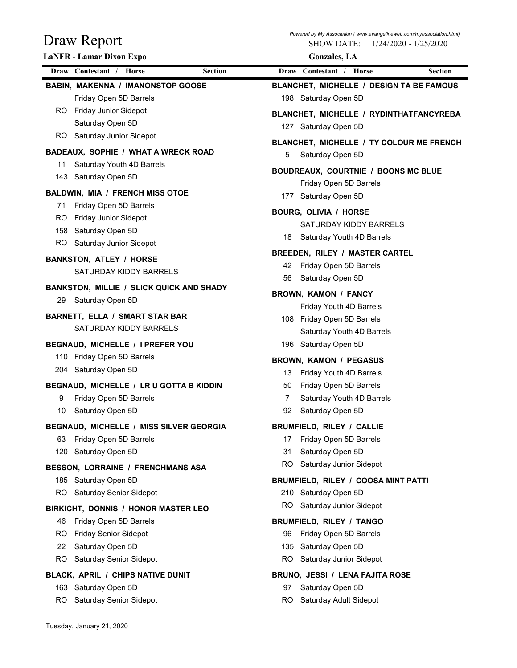| Draw Report                                     |                | <b>SHOW DATE:</b><br>$1/24/2020 - 1/25/2020$ |
|-------------------------------------------------|----------------|----------------------------------------------|
| <b>LaNFR</b> - Lamar Dixon Expo                 |                | <b>Gonzales</b> , LA                         |
| Draw Contestant / Horse                         | <b>Section</b> | Draw Contestant / Horse<br><b>Section</b>    |
| <b>BABIN, MAKENNA / IMANONSTOP GOOSE</b>        |                | BLANCHET, MICHELLE / DESIGN TA BE FAMOUS     |
| Friday Open 5D Barrels                          |                | 198 Saturday Open 5D                         |
| Friday Junior Sidepot<br>RO.                    |                | BLANCHET, MICHELLE / RYDINTHATFANCYREBA      |
| Saturday Open 5D                                |                | 127 Saturday Open 5D                         |
| Saturday Junior Sidepot<br>RO.                  |                | BLANCHET, MICHELLE / TY COLOUR ME FRENCH     |
| BADEAUX, SOPHIE / WHAT A WRECK ROAD             |                | Saturday Open 5D<br>5                        |
| Saturday Youth 4D Barrels<br>11                 |                | BOUDREAUX, COURTNIE / BOONS MC BLUE          |
| 143 Saturday Open 5D                            |                | Friday Open 5D Barrels                       |
| <b>BALDWIN, MIA / FRENCH MISS OTOE</b>          |                | Saturday Open 5D<br>177                      |
| Friday Open 5D Barrels<br>71                    |                | <b>BOURG, OLIVIA / HORSE</b>                 |
| RO.<br>Friday Junior Sidepot                    |                | SATURDAY KIDDY BARRELS                       |
| 158 Saturday Open 5D                            |                | 18 Saturday Youth 4D Barrels                 |
| RO Saturday Junior Sidepot                      |                | <b>BREEDEN, RILEY / MASTER CARTEL</b>        |
| <b>BANKSTON, ATLEY / HORSE</b>                  |                | 42 Friday Open 5D Barrels                    |
| SATURDAY KIDDY BARRELS                          |                | Saturday Open 5D<br>56                       |
| <b>BANKSTON, MILLIE / SLICK QUICK AND SHADY</b> |                | <b>BROWN, KAMON / FANCY</b>                  |
| Saturday Open 5D<br>29                          |                | Friday Youth 4D Barrels                      |
| <b>BARNETT, ELLA / SMART STAR BAR</b>           |                | 108 Friday Open 5D Barrels                   |
| SATURDAY KIDDY BARRELS                          |                | Saturday Youth 4D Barrels                    |
| BEGNAUD, MICHELLE / I PREFER YOU                |                | 196 Saturday Open 5D                         |
| 110 Friday Open 5D Barrels                      |                | <b>BROWN, KAMON / PEGASUS</b>                |
| 204 Saturday Open 5D                            |                | Friday Youth 4D Barrels<br>13                |
| BEGNAUD, MICHELLE / LR U GOTTA B KIDDIN         |                | Friday Open 5D Barrels<br>50                 |
| Friday Open 5D Barrels<br>9                     |                | Saturday Youth 4D Barrels<br>7               |
| Saturday Open 5D<br>10                          |                | Saturday Open 5D<br>92                       |
| BEGNAUD, MICHELLE / MISS SILVER GEORGIA         |                | BRUMFIELD, RILEY / CALLIE                    |
| Friday Open 5D Barrels<br>63                    |                | Friday Open 5D Barrels<br>17                 |
| 120 Saturday Open 5D                            |                | Saturday Open 5D<br>31                       |
| BESSON, LORRAINE / FRENCHMANS ASA               |                | RO.<br>Saturday Junior Sidepot               |
| 185 Saturday Open 5D                            |                | BRUMFIELD, RILEY / COOSA MINT PATTI          |
| <b>Saturday Senior Sidepot</b><br>RO.           |                | 210 Saturday Open 5D                         |
| BIRKICHT, DONNIS / HONOR MASTER LEO             |                | RO<br>Saturday Junior Sidepot                |
| Friday Open 5D Barrels<br>46.                   |                | <b>BRUMFIELD, RILEY / TANGO</b>              |
| <b>Friday Senior Sidepot</b><br>RO.             |                | Friday Open 5D Barrels<br>96                 |
| Saturday Open 5D<br>22                          |                | 135 Saturday Open 5D                         |
| Saturday Senior Sidepot<br>RO.                  |                | RO.<br>Saturday Junior Sidepot               |
| BLACK, APRIL / CHIPS NATIVE DUNIT               |                | BRUNO, JESSI / LENA FAJITA ROSE              |
|                                                 |                | Saturday Open 5D<br>97                       |
| 163 Saturday Open 5D                            |                |                                              |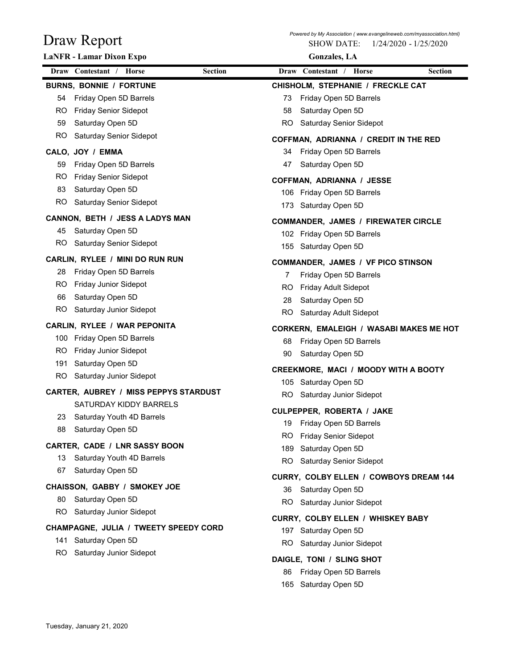| Draw Report                                 | Powered by My Association (www.evangelineweb.com/myassociation.html)<br><b>SHOW DATE:</b><br>1/24/2020 - 1/25/2020 |
|---------------------------------------------|--------------------------------------------------------------------------------------------------------------------|
| LaNFR - Lamar Dixon Expo                    | <b>Gonzales</b> , LA                                                                                               |
| Draw Contestant / Horse<br><b>Section</b>   | Draw Contestant / Horse<br><b>Section</b>                                                                          |
| <b>BURNS, BONNIE / FORTUNE</b>              | CHISHOLM, STEPHANIE / FRECKLE CAT                                                                                  |
| Friday Open 5D Barrels<br>54                | Friday Open 5D Barrels<br>73                                                                                       |
| <b>Friday Senior Sidepot</b><br>RO.         | Saturday Open 5D<br>58                                                                                             |
| Saturday Open 5D<br>59                      | Saturday Senior Sidepot<br>RO                                                                                      |
| <b>RO</b><br><b>Saturday Senior Sidepot</b> | COFFMAN, ADRIANNA / CREDIT IN THE RED                                                                              |
| CALO, JOY / EMMA                            | Friday Open 5D Barrels<br>34                                                                                       |
| Friday Open 5D Barrels<br>59                | Saturday Open 5D<br>47                                                                                             |
| <b>RO</b><br><b>Friday Senior Sidepot</b>   | <b>COFFMAN, ADRIANNA / JESSE</b>                                                                                   |
| 83<br>Saturday Open 5D                      | 106 Friday Open 5D Barrels                                                                                         |
| RO.<br>Saturday Senior Sidepot              | Saturday Open 5D<br>173                                                                                            |
| CANNON, BETH / JESS A LADYS MAN             | <b>COMMANDER, JAMES / FIREWATER CIRCLE</b>                                                                         |
| 45 Saturday Open 5D                         | 102 Friday Open 5D Barrels                                                                                         |
| RO Saturday Senior Sidepot                  | 155 Saturday Open 5D                                                                                               |
| CARLIN, RYLEE / MINI DO RUN RUN             | COMMANDER, JAMES / VF PICO STINSON                                                                                 |
| Friday Open 5D Barrels<br>28                | Friday Open 5D Barrels                                                                                             |
| RO.<br>Friday Junior Sidepot                | <b>Friday Adult Sidepot</b><br>RO                                                                                  |
| 66<br>Saturday Open 5D                      | Saturday Open 5D<br>28                                                                                             |
| <b>RO</b><br>Saturday Junior Sidepot        | <b>RO</b><br>Saturday Adult Sidepot                                                                                |
| CARLIN, RYLEE / WAR PEPONITA                | CORKERN, EMALEIGH / WASABI MAKES ME HOT                                                                            |
| Friday Open 5D Barrels<br>100               | Friday Open 5D Barrels<br>68                                                                                       |
| Friday Junior Sidepot<br>RO.                | Saturday Open 5D<br>90                                                                                             |
| 191<br>Saturday Open 5D                     | CREEKMORE, MACI / MOODY WITH A BOOTY                                                                               |
| Saturday Junior Sidepot<br><b>RO</b>        | 105 Saturday Open 5D                                                                                               |
| CARTER, AUBREY / MISS PEPPYS STARDUST       | <b>RO</b><br>Saturday Junior Sidepot                                                                               |
| SATURDAY KIDDY BARRELS                      | CULPEPPER, ROBERTA / JAKE                                                                                          |
| Saturday Youth 4D Barrels<br>23             | Friday Open 5D Barrels<br>19                                                                                       |
| 88<br>Saturday Open 5D                      | <b>Friday Senior Sidepot</b><br>RO.                                                                                |
| CARTER, CADE / LNR SASSY BOON               | Saturday Open 5D<br>189                                                                                            |
| Saturday Youth 4D Barrels<br>13             | Saturday Senior Sidepot<br>RO.                                                                                     |
| Saturday Open 5D<br>67                      | CURRY, COLBY ELLEN / COWBOYS DREAM 144                                                                             |
| CHAISSON, GABBY / SMOKEY JOE                | Saturday Open 5D<br>36                                                                                             |
| Saturday Open 5D<br>80                      | Saturday Junior Sidepot<br>RO.                                                                                     |
| RO<br>Saturday Junior Sidepot               |                                                                                                                    |
| CHAMPAGNE, JULIA / TWEETY SPEEDY CORD       | CURRY, COLBY ELLEN / WHISKEY BABY<br>197 Saturday Open 5D                                                          |
| Saturday Open 5D<br>141                     | Saturday Junior Sidepot<br>RO.                                                                                     |
| Saturday Junior Sidepot<br>RO.              |                                                                                                                    |
|                                             | DAIGLE, TONI / SLING SHOT                                                                                          |
|                                             | Friday Open 5D Barrels<br>86                                                                                       |
|                                             | 165 Saturday Open 5D                                                                                               |
|                                             |                                                                                                                    |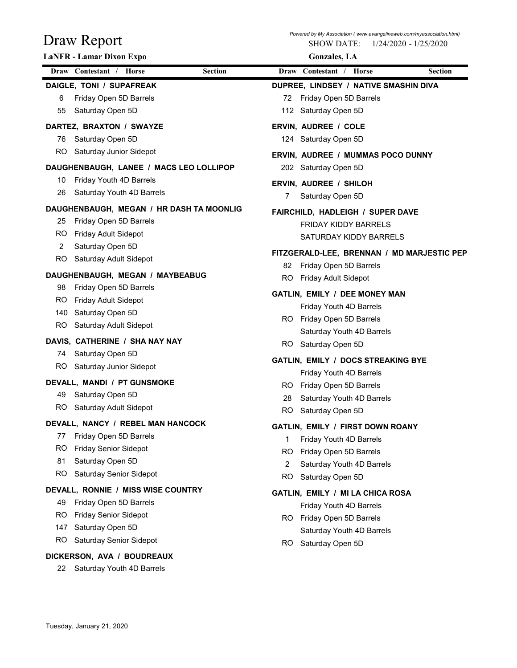| LaNFR - Lamar Dixon Expo<br><b>Gonzales</b> , LA<br>Draw Contestant / Horse<br>Draw Contestant / Horse<br><b>Section</b><br><b>Section</b><br>DAIGLE, TONI / SUPAFREAK<br>DUPREE, LINDSEY / NATIVE SMASHIN DIVA<br>Friday Open 5D Barrels<br>Friday Open 5D Barrels<br>6<br>72<br>55<br>Saturday Open 5D<br>112 Saturday Open 5D<br>DARTEZ, BRAXTON / SWAYZE<br>ERVIN, AUDREE / COLE<br>Saturday Open 5D<br>124 Saturday Open 5D<br>76<br>Saturday Junior Sidepot<br>RO.<br>ERVIN, AUDREE / MUMMAS POCO DUNNY                           |
|-----------------------------------------------------------------------------------------------------------------------------------------------------------------------------------------------------------------------------------------------------------------------------------------------------------------------------------------------------------------------------------------------------------------------------------------------------------------------------------------------------------------------------------------|
|                                                                                                                                                                                                                                                                                                                                                                                                                                                                                                                                         |
|                                                                                                                                                                                                                                                                                                                                                                                                                                                                                                                                         |
|                                                                                                                                                                                                                                                                                                                                                                                                                                                                                                                                         |
| DAUGHENBAUGH, LANEE / MACS LEO LOLLIPOP<br>202 Saturday Open 5D<br>Friday Youth 4D Barrels<br>10<br>ERVIN, AUDREE / SHILOH<br>Saturday Youth 4D Barrels<br>26<br>Saturday Open 5D<br>DAUGHENBAUGH, MEGAN / HR DASH TA MOONLIG<br>FAIRCHILD, HADLEIGH / SUPER DAVE<br>Friday Open 5D Barrels<br>25<br><b>FRIDAY KIDDY BARRELS</b><br>Friday Adult Sidepot<br>RO.<br>SATURDAY KIDDY BARRELS<br>Saturday Open 5D<br>2<br>FITZGERALD-LEE, BRENNAN / MD MARJESTIC PEP<br><b>RO</b><br>Saturday Adult Sidepot<br>Friday Open 5D Barrels<br>82 |
| DAUGHENBAUGH, MEGAN / MAYBEABUG<br>RO<br><b>Friday Adult Sidepot</b><br>Friday Open 5D Barrels<br>98<br>GATLIN, EMILY / DEE MONEY MAN<br>RO.<br>Friday Adult Sidepot<br>Friday Youth 4D Barrels<br>140<br>Saturday Open 5D<br>RO Friday Open 5D Barrels<br><b>RO</b><br>Saturday Adult Sidepot<br>Saturday Youth 4D Barrels                                                                                                                                                                                                             |
| DAVIS, CATHERINE / SHA NAY NAY<br>Saturday Open 5D<br><b>RO</b><br>Saturday Open 5D<br>74<br>GATLIN, EMILY / DOCS STREAKING BYE<br>RO Saturday Junior Sidepot                                                                                                                                                                                                                                                                                                                                                                           |
| Friday Youth 4D Barrels<br>DEVALL, MANDI / PT GUNSMOKE<br>RO Friday Open 5D Barrels<br>Saturday Open 5D<br>49<br>Saturday Youth 4D Barrels<br>28<br>Saturday Adult Sidepot<br>RO.<br>Saturday Open 5D<br>RO.                                                                                                                                                                                                                                                                                                                            |
| DEVALL, NANCY / REBEL MAN HANCOCK<br>GATLIN, EMILY / FIRST DOWN ROANY<br>Friday Open 5D Barrels<br>77<br>Friday Youth 4D Barrels<br><b>Friday Senior Sidepot</b><br>RO.<br>Friday Open 5D Barrels<br>RO.<br>Saturday Open 5D<br>81<br>2<br>Saturday Youth 4D Barrels<br><b>RO</b><br>Saturday Senior Sidepot<br>RO<br>Saturday Open 5D                                                                                                                                                                                                  |
| DEVALL, RONNIE / MISS WISE COUNTRY<br>GATLIN, EMILY / MI LA CHICA ROSA<br>Friday Open 5D Barrels<br>49<br>Friday Youth 4D Barrels<br>RO.<br><b>Friday Senior Sidepot</b><br>RO Friday Open 5D Barrels<br>147<br>Saturday Open 5D<br>Saturday Youth 4D Barrels<br>RO.<br>Saturday Senior Sidepot<br>Saturday Open 5D<br>RO.                                                                                                                                                                                                              |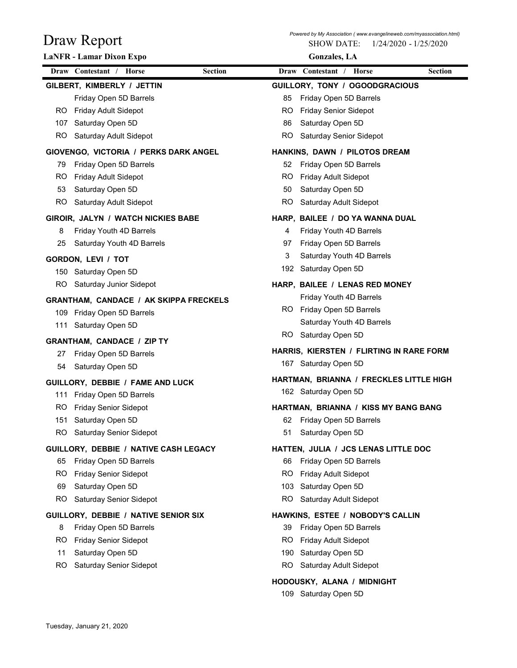| Draw Report                                                       | Powered by My Association ( www.evangelineweb.com/myassociation.html)<br><b>SHOW DATE:</b><br>1/24/2020 - 1/25/2020 |
|-------------------------------------------------------------------|---------------------------------------------------------------------------------------------------------------------|
| <b>LaNFR</b> - Lamar Dixon Expo                                   | <b>Gonzales</b> , LA                                                                                                |
| Draw Contestant / Horse<br><b>Section</b>                         | Draw Contestant /<br>Horse<br>Section                                                                               |
| GILBERT, KIMBERLY / JETTIN                                        | GUILLORY, TONY / OGOODGRACIOUS                                                                                      |
| Friday Open 5D Barrels                                            | Friday Open 5D Barrels<br>85                                                                                        |
| Friday Adult Sidepot<br>RO.                                       | <b>Friday Senior Sidepot</b><br>RO                                                                                  |
| Saturday Open 5D<br>107                                           | Saturday Open 5D<br>86                                                                                              |
| Saturday Adult Sidepot<br>RO                                      | Saturday Senior Sidepot<br><b>RO</b>                                                                                |
| GIOVENGO, VICTORIA / PERKS DARK ANGEL                             | HANKINS, DAWN / PILOTOS DREAM                                                                                       |
| Friday Open 5D Barrels<br>79                                      | Friday Open 5D Barrels<br>52                                                                                        |
| Friday Adult Sidepot<br>RO.                                       | RO<br>Friday Adult Sidepot                                                                                          |
| Saturday Open 5D<br>53<br>RO                                      | Saturday Open 5D<br>50<br>RO                                                                                        |
| Saturday Adult Sidepot                                            | Saturday Adult Sidepot                                                                                              |
| GIROIR, JALYN / WATCH NICKIES BABE                                | HARP, BAILEE / DO YA WANNA DUAL                                                                                     |
| Friday Youth 4D Barrels<br>Saturday Youth 4D Barrels<br>25        | Friday Youth 4D Barrels<br>Friday Open 5D Barrels<br>97                                                             |
|                                                                   | Saturday Youth 4D Barrels<br>3                                                                                      |
| GORDON, LEVI / TOT                                                | Saturday Open 5D<br>192                                                                                             |
| Saturday Open 5D<br>150<br>Saturday Junior Sidepot<br>RO          | HARP, BAILEE / LENAS RED MONEY                                                                                      |
|                                                                   | Friday Youth 4D Barrels                                                                                             |
| <b>GRANTHAM, CANDACE / AK SKIPPA FRECKELS</b>                     | RO Friday Open 5D Barrels                                                                                           |
| 109 Friday Open 5D Barrels<br>Saturday Open 5D<br>111             | Saturday Youth 4D Barrels                                                                                           |
|                                                                   | RO Saturday Open 5D                                                                                                 |
| <b>GRANTHAM, CANDACE / ZIP TY</b>                                 | HARRIS, KIERSTEN / FLIRTING IN RARE FORM                                                                            |
| Friday Open 5D Barrels<br>27<br>Saturday Open 5D<br>54            | 167 Saturday Open 5D                                                                                                |
|                                                                   | HARTMAN, BRIANNA / FRECKLES LITTLE HIGH                                                                             |
| GUILLORY, DEBBIE / FAME AND LUCK                                  | 162 Saturday Open 5D                                                                                                |
| 111 Friday Open 5D Barrels<br>RO.<br><b>Friday Senior Sidepot</b> | HARTMAN, BRIANNA / KISS MY BANG BANG                                                                                |
| Saturday Open 5D<br>151                                           | 62 Friday Open 5D Barrels                                                                                           |
| Saturday Senior Sidepot<br>RO.                                    | Saturday Open 5D<br>51                                                                                              |
| GUILLORY, DEBBIE / NATIVE CASH LEGACY                             | HATTEN, JULIA / JCS LENAS LITTLE DOC                                                                                |
| Friday Open 5D Barrels<br>65                                      | Friday Open 5D Barrels<br>66                                                                                        |
| <b>Friday Senior Sidepot</b><br>RO.                               | RO<br>Friday Adult Sidepot                                                                                          |
| Saturday Open 5D<br>69                                            | Saturday Open 5D<br>103                                                                                             |
| Saturday Senior Sidepot<br>RO.                                    | RO<br>Saturday Adult Sidepot                                                                                        |
| GUILLORY, DEBBIE / NATIVE SENIOR SIX                              | HAWKINS, ESTEE / NOBODY'S CALLIN                                                                                    |
| Friday Open 5D Barrels<br>8                                       | Friday Open 5D Barrels<br>39                                                                                        |
| <b>Friday Senior Sidepot</b><br>RO.                               | Friday Adult Sidepot<br>RO.                                                                                         |
| Saturday Open 5D<br>11                                            | Saturday Open 5D<br>190                                                                                             |
| Saturday Senior Sidepot<br>RO                                     | RO<br>Saturday Adult Sidepot                                                                                        |
|                                                                   | HODOUSKY, ALANA / MIDNIGHT                                                                                          |
|                                                                   | 109 Saturday Open 5D                                                                                                |
|                                                                   |                                                                                                                     |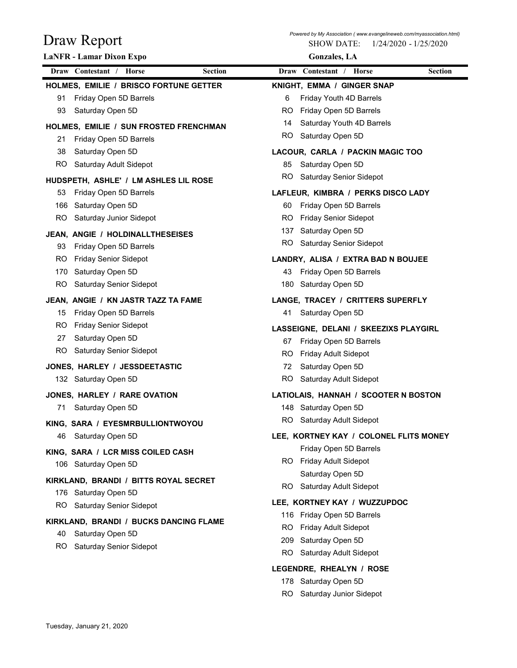| Draw Report                                                         | Powered by My Association (www.evangelineweb.com/myassociation.html)<br><b>SHOW DATE:</b> | 1/24/2020 - 1/25/2020 |
|---------------------------------------------------------------------|-------------------------------------------------------------------------------------------|-----------------------|
| LaNFR - Lamar Dixon Expo                                            | <b>Gonzales</b> , LA                                                                      |                       |
| Draw Contestant / Horse<br><b>Section</b>                           | Draw Contestant / Horse                                                                   | <b>Section</b>        |
| HOLMES, EMILIE / BRISCO FORTUNE GETTER                              | KNIGHT, EMMA / GINGER SNAP                                                                |                       |
| Friday Open 5D Barrels<br>91                                        | Friday Youth 4D Barrels<br>6                                                              |                       |
| 93<br>Saturday Open 5D                                              | Friday Open 5D Barrels<br>RO                                                              |                       |
| HOLMES, EMILIE / SUN FROSTED FRENCHMAN                              | Saturday Youth 4D Barrels<br>14                                                           |                       |
| Friday Open 5D Barrels<br>21                                        | Saturday Open 5D<br>RO                                                                    |                       |
| 38<br>Saturday Open 5D                                              | LACOUR, CARLA / PACKIN MAGIC TOO                                                          |                       |
| <b>RO</b><br>Saturday Adult Sidepot                                 | Saturday Open 5D<br>85                                                                    |                       |
| HUDSPETH, ASHLE' / LM ASHLES LIL ROSE                               | <b>RO</b><br>Saturday Senior Sidepot                                                      |                       |
| 53<br>Friday Open 5D Barrels                                        | LAFLEUR, KIMBRA / PERKS DISCO LADY                                                        |                       |
| 166<br>Saturday Open 5D                                             | Friday Open 5D Barrels<br>60                                                              |                       |
| RO<br>Saturday Junior Sidepot                                       | <b>Friday Senior Sidepot</b><br>RO.                                                       |                       |
| JEAN, ANGIE / HOLDINALLTHESEISES                                    | 137 Saturday Open 5D<br><b>Saturday Senior Sidepot</b><br>RO.                             |                       |
| Friday Open 5D Barrels<br>93                                        |                                                                                           |                       |
| <b>RO</b><br><b>Friday Senior Sidepot</b>                           | LANDRY, ALISA / EXTRA BAD N BOUJEE                                                        |                       |
| 170<br>Saturday Open 5D<br><b>RO</b><br>Saturday Senior Sidepot     | Friday Open 5D Barrels<br>43<br>Saturday Open 5D<br>180                                   |                       |
|                                                                     |                                                                                           |                       |
| JEAN, ANGIE / KN JASTR TAZZ TA FAME<br>Friday Open 5D Barrels<br>15 | LANGE, TRACEY / CRITTERS SUPERFLY<br>Saturday Open 5D<br>41                               |                       |
| <b>Friday Senior Sidepot</b><br>RO                                  |                                                                                           |                       |
| 27<br>Saturday Open 5D                                              | LASSEIGNE, DELANI / SKEEZIXS PLAYGIRL                                                     |                       |
| <b>RO</b><br>Saturday Senior Sidepot                                | Friday Open 5D Barrels<br>67<br>Friday Adult Sidepot<br>RO.                               |                       |
| JONES, HARLEY / JESSDEETASTIC                                       | Saturday Open 5D<br>72                                                                    |                       |
| 132 Saturday Open 5D                                                | Saturday Adult Sidepot<br>RO.                                                             |                       |
| JONES, HARLEY / RARE OVATION                                        | LATIOLAIS, HANNAH / SCOOTER N BOSTON                                                      |                       |
| Saturday Open 5D<br>71                                              | 148 Saturday Open 5D                                                                      |                       |
| KING, SARA / EYESMRBULLIONTWOYOU                                    | Saturday Adult Sidepot<br>RO.                                                             |                       |
| 46<br>Saturday Open 5D                                              | LEE, KORTNEY KAY / COLONEL FLITS MONEY                                                    |                       |
|                                                                     | Friday Open 5D Barrels                                                                    |                       |
| KING, SARA / LCR MISS COILED CASH<br>106 Saturday Open 5D           | Friday Adult Sidepot<br>RO.                                                               |                       |
|                                                                     | Saturday Open 5D                                                                          |                       |
| KIRKLAND, BRANDI / BITTS ROYAL SECRET                               | Saturday Adult Sidepot<br>RO.                                                             |                       |
| 176 Saturday Open 5D<br><b>RO</b><br>Saturday Senior Sidepot        | LEE, KORTNEY KAY / WUZZUPDOC                                                              |                       |
|                                                                     | 116 Friday Open 5D Barrels                                                                |                       |
| KIRKLAND, BRANDI / BUCKS DANCING FLAME                              | Friday Adult Sidepot<br>RO.                                                               |                       |
| Saturday Open 5D<br>40<br>Saturday Senior Sidepot<br>RO.            | Saturday Open 5D<br>209                                                                   |                       |
|                                                                     | Saturday Adult Sidepot<br>RO.                                                             |                       |
|                                                                     | LEGENDRE, RHEALYN / ROSE                                                                  |                       |
|                                                                     | 178 Saturday Open 5D                                                                      |                       |

RO Saturday Junior Sidepot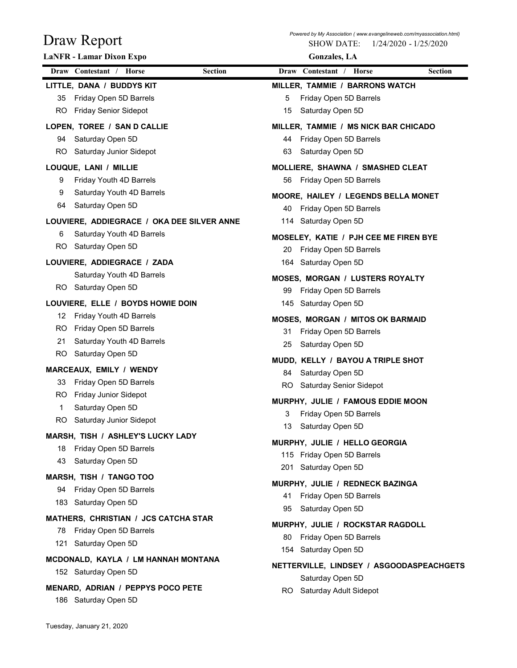| Draw Report<br>LaNFR - Lamar Dixon Expo                                      | Powered by My Association (www.evangelineweb.com/myassociation.html)<br><b>SHOW DATE:</b><br>1/24/2020 - 1/25/2020<br><b>Gonzales</b> , LA |                |
|------------------------------------------------------------------------------|--------------------------------------------------------------------------------------------------------------------------------------------|----------------|
| Draw Contestant / Horse<br><b>Section</b>                                    | Draw Contestant / Horse                                                                                                                    | <b>Section</b> |
|                                                                              |                                                                                                                                            |                |
| LITTLE, DANA / BUDDYS KIT<br>Friday Open 5D Barrels<br>35                    | MILLER, TAMMIE / BARRONS WATCH<br>Friday Open 5D Barrels<br>5                                                                              |                |
| RO.<br><b>Friday Senior Sidepot</b>                                          | Saturday Open 5D<br>15                                                                                                                     |                |
|                                                                              |                                                                                                                                            |                |
| LOPEN, TOREE / SAN D CALLIE<br>Saturday Open 5D<br>94                        | MILLER, TAMMIE / MS NICK BAR CHICADO<br>Friday Open 5D Barrels<br>44                                                                       |                |
| RO.<br>Saturday Junior Sidepot                                               | Saturday Open 5D<br>63                                                                                                                     |                |
|                                                                              |                                                                                                                                            |                |
| LOUQUE, LANI / MILLIE<br>Friday Youth 4D Barrels<br>9                        | MOLLIERE, SHAWNA / SMASHED CLEAT<br>56<br>Friday Open 5D Barrels                                                                           |                |
| Saturday Youth 4D Barrels<br>9                                               |                                                                                                                                            |                |
| Saturday Open 5D<br>64                                                       | MOORE, HAILEY / LEGENDS BELLA MONET                                                                                                        |                |
|                                                                              | Friday Open 5D Barrels<br>40                                                                                                               |                |
| LOUVIERE, ADDIEGRACE / OKA DEE SILVER ANNE<br>Saturday Youth 4D Barrels<br>6 | 114 Saturday Open 5D                                                                                                                       |                |
| RO.<br>Saturday Open 5D                                                      | MOSELEY, KATIE / PJH CEE ME FIREN BYE                                                                                                      |                |
|                                                                              | 20 Friday Open 5D Barrels                                                                                                                  |                |
| LOUVIERE, ADDIEGRACE / ZADA                                                  | 164 Saturday Open 5D                                                                                                                       |                |
| Saturday Youth 4D Barrels                                                    | MOSES, MORGAN / LUSTERS ROYALTY                                                                                                            |                |
| RO Saturday Open 5D                                                          | Friday Open 5D Barrels<br>99                                                                                                               |                |
| LOUVIERE, ELLE / BOYDS HOWIE DOIN                                            | 145 Saturday Open 5D                                                                                                                       |                |
| Friday Youth 4D Barrels<br>12                                                | <b>MOSES, MORGAN / MITOS OK BARMAID</b>                                                                                                    |                |
| Friday Open 5D Barrels<br>RO.                                                | 31 Friday Open 5D Barrels                                                                                                                  |                |
| Saturday Youth 4D Barrels<br>21<br>RO.<br>Saturday Open 5D                   | Saturday Open 5D<br>25                                                                                                                     |                |
|                                                                              | MUDD, KELLY / BAYOU A TRIPLE SHOT                                                                                                          |                |
| MARCEAUX, EMILY / WENDY                                                      | Saturday Open 5D<br>84                                                                                                                     |                |
| Friday Open 5D Barrels<br>33<br>RO.<br>Friday Junior Sidepot                 | RO Saturday Senior Sidepot                                                                                                                 |                |
| Saturday Open 5D<br>1                                                        | MURPHY, JULIE / FAMOUS EDDIE MOON                                                                                                          |                |
| RO.<br>Saturday Junior Sidepot                                               | Friday Open 5D Barrels<br>3                                                                                                                |                |
|                                                                              | Saturday Open 5D<br>13                                                                                                                     |                |
| MARSH, TISH / ASHLEY'S LUCKY LADY                                            | MURPHY, JULIE / HELLO GEORGIA                                                                                                              |                |
| Friday Open 5D Barrels<br>18                                                 | 115 Friday Open 5D Barrels                                                                                                                 |                |
| Saturday Open 5D<br>43                                                       | 201 Saturday Open 5D                                                                                                                       |                |
| MARSH, TISH / TANGO TOO                                                      | MURPHY, JULIE / REDNECK BAZINGA                                                                                                            |                |
| Friday Open 5D Barrels<br>94                                                 | Friday Open 5D Barrels<br>41                                                                                                               |                |
| 183 Saturday Open 5D                                                         | Saturday Open 5D<br>95                                                                                                                     |                |
| MATHERS, CHRISTIAN / JCS CATCHA STAR                                         | MURPHY, JULIE / ROCKSTAR RAGDOLL                                                                                                           |                |
| 78 Friday Open 5D Barrels                                                    | Friday Open 5D Barrels<br>80                                                                                                               |                |
| 121 Saturday Open 5D                                                         | 154 Saturday Open 5D                                                                                                                       |                |
| MCDONALD, KAYLA / LM HANNAH MONTANA                                          | NETTERVILLE, LINDSEY / ASGOODASPEACHGETS                                                                                                   |                |
| 152 Saturday Open 5D                                                         | Saturday Open 5D                                                                                                                           |                |
|                                                                              |                                                                                                                                            |                |
| MENARD, ADRIAN / PEPPYS POCO PETE                                            | RO Saturday Adult Sidepot                                                                                                                  |                |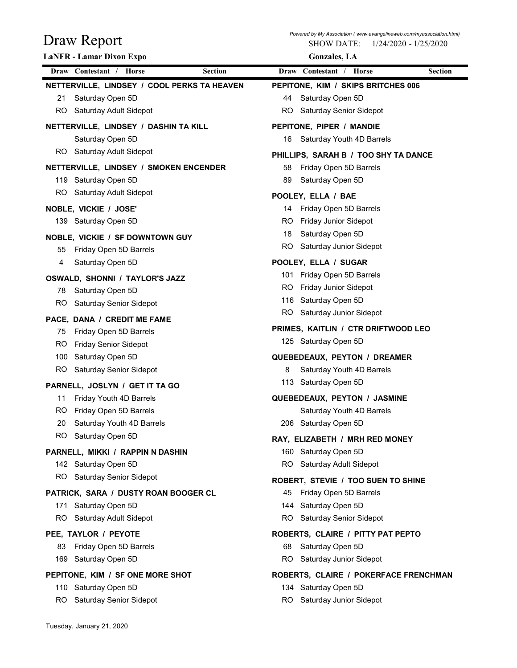| Draw Report                                              | Powered by My Association ( www.evangelineweb.com/myassociation.html)<br><b>SHOW DATE:</b><br>1/24/2020 - 1/25/2020 |
|----------------------------------------------------------|---------------------------------------------------------------------------------------------------------------------|
| LaNFR - Lamar Dixon Expo                                 | <b>Gonzales</b> , LA                                                                                                |
| Draw Contestant / Horse<br><b>Section</b>                | Draw Contestant / Horse<br>Section                                                                                  |
| NETTERVILLE, LINDSEY / COOL PERKS TA HEAVEN              | PEPITONE, KIM / SKIPS BRITCHES 006                                                                                  |
| Saturday Open 5D<br>21                                   | Saturday Open 5D<br>44                                                                                              |
| Saturday Adult Sidepot<br>RO.                            | RO.<br>Saturday Senior Sidepot                                                                                      |
| NETTERVILLE, LINDSEY / DASHIN TA KILL                    | PEPITONE, PIPER / MANDIE                                                                                            |
| Saturday Open 5D                                         | Saturday Youth 4D Barrels<br>16                                                                                     |
| Saturday Adult Sidepot<br>RO.                            | PHILLIPS, SARAH B / TOO SHY TA DANCE                                                                                |
| NETTERVILLE, LINDSEY / SMOKEN ENCENDER                   | Friday Open 5D Barrels<br>58                                                                                        |
| Saturday Open 5D<br>119                                  | Saturday Open 5D<br>89                                                                                              |
| RO.<br>Saturday Adult Sidepot                            | POOLEY, ELLA / BAE                                                                                                  |
| NOBLE, VICKIE / JOSE'                                    | Friday Open 5D Barrels<br>14                                                                                        |
| 139 Saturday Open 5D                                     | Friday Junior Sidepot<br>RO.                                                                                        |
|                                                          | Saturday Open 5D<br>18                                                                                              |
| NOBLE, VICKIE / SF DOWNTOWN GUY                          | RO.<br>Saturday Junior Sidepot                                                                                      |
| Friday Open 5D Barrels<br>55                             |                                                                                                                     |
| Saturday Open 5D<br>4                                    | POOLEY, ELLA / SUGAR                                                                                                |
| OSWALD, SHONNI / TAYLOR'S JAZZ                           | 101 Friday Open 5D Barrels<br>Friday Junior Sidepot<br>RO.                                                          |
| Saturday Open 5D<br>78                                   | 116 Saturday Open 5D                                                                                                |
| RO<br>Saturday Senior Sidepot                            | Saturday Junior Sidepot<br>RO.                                                                                      |
| PACE, DANA / CREDIT ME FAME                              |                                                                                                                     |
| Friday Open 5D Barrels<br>75                             | PRIMES, KAITLIN / CTR DRIFTWOOD LEO                                                                                 |
| <b>Friday Senior Sidepot</b><br>RO.                      | 125 Saturday Open 5D                                                                                                |
| Saturday Open 5D<br>100                                  | QUEBEDEAUX, PEYTON / DREAMER                                                                                        |
| Saturday Senior Sidepot<br>RO.                           | Saturday Youth 4D Barrels<br>8                                                                                      |
| PARNELL, JOSLYN / GET IT TA GO                           | 113 Saturday Open 5D                                                                                                |
| Friday Youth 4D Barrels<br>11                            | QUEBEDEAUX, PEYTON / JASMINE                                                                                        |
| Friday Open 5D Barrels<br>RO.                            | Saturday Youth 4D Barrels                                                                                           |
| Saturday Youth 4D Barrels<br>20                          | 206 Saturday Open 5D                                                                                                |
| RO.<br>Saturday Open 5D                                  | RAY, ELIZABETH / MRH RED MONEY                                                                                      |
| PARNELL, MIKKI / RAPPIN N DASHIN                         | 160 Saturday Open 5D                                                                                                |
| 142 Saturday Open 5D                                     | RO.<br>Saturday Adult Sidepot                                                                                       |
| RO Saturday Senior Sidepot                               | ROBERT, STEVIE / TOO SUEN TO SHINE                                                                                  |
| PATRICK, SARA / DUSTY ROAN BOOGER CL                     | Friday Open 5D Barrels<br>45                                                                                        |
| Saturday Open 5D<br>171                                  | 144 Saturday Open 5D                                                                                                |
| RO.<br>Saturday Adult Sidepot                            | <b>Saturday Senior Sidepot</b><br>RO.                                                                               |
| PEE, TAYLOR / PEYOTE                                     | ROBERTS, CLAIRE / PITTY PAT PEPTO                                                                                   |
| Friday Open 5D Barrels<br>83                             | Saturday Open 5D<br>68                                                                                              |
| Saturday Open 5D<br>169                                  | Saturday Junior Sidepot<br>RO.                                                                                      |
|                                                          |                                                                                                                     |
| PEPITONE, KIM / SF ONE MORE SHOT<br>110 Saturday Open 5D | ROBERTS, CLAIRE / POKERFACE FRENCHMAN                                                                               |
| RO Saturday Senior Sidepot                               | 134 Saturday Open 5D<br>RO Saturday Junior Sidepot                                                                  |
|                                                          |                                                                                                                     |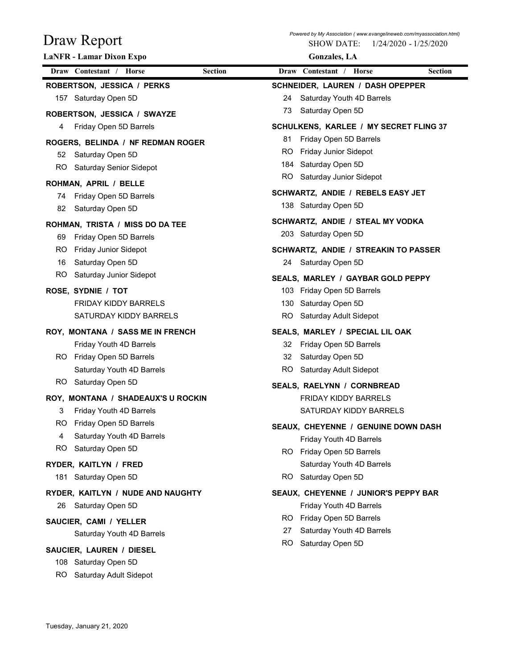| Draw Report<br>LaNFR - Lamar Dixon Expo                                                                                     | Powered by My Association (www.evangelineweb.com/myassociation.html)<br><b>SHOW DATE:</b><br>1/24/2020 - 1/25/2020<br><b>Gonzales</b> , LA                                      |
|-----------------------------------------------------------------------------------------------------------------------------|---------------------------------------------------------------------------------------------------------------------------------------------------------------------------------|
| Draw Contestant / Horse<br><b>Section</b>                                                                                   | Draw Contestant / Horse<br><b>Section</b>                                                                                                                                       |
| ROBERTSON, JESSICA / PERKS<br>157 Saturday Open 5D<br>ROBERTSON, JESSICA / SWAYZE                                           | SCHNEIDER, LAUREN / DASH OPEPPER<br>Saturday Youth 4D Barrels<br>24<br>Saturday Open 5D<br>73                                                                                   |
| Friday Open 5D Barrels<br>4<br>ROGERS, BELINDA / NF REDMAN ROGER<br>Saturday Open 5D<br>52<br>RO<br>Saturday Senior Sidepot | SCHULKENS, KARLEE / MY SECRET FLING 37<br>Friday Open 5D Barrels<br>81<br>Friday Junior Sidepot<br><b>RO</b><br>Saturday Open 5D<br>184<br><b>RO</b><br>Saturday Junior Sidepot |
| ROHMAN, APRIL / BELLE<br>Friday Open 5D Barrels<br>74<br>82<br>Saturday Open 5D                                             | SCHWARTZ, ANDIE / REBELS EASY JET<br>138 Saturday Open 5D                                                                                                                       |
| ROHMAN, TRISTA / MISS DO DA TEE<br>Friday Open 5D Barrels<br>69<br>RO<br>Friday Junior Sidepot                              | SCHWARTZ, ANDIE / STEAL MY VODKA<br>203 Saturday Open 5D<br>SCHWARTZ, ANDIE / STREAKIN TO PASSER                                                                                |
| 16<br>Saturday Open 5D<br><b>RO</b><br>Saturday Junior Sidepot                                                              | 24 Saturday Open 5D<br>SEALS, MARLEY / GAYBAR GOLD PEPPY                                                                                                                        |
| ROSE, SYDNIE / TOT<br><b>FRIDAY KIDDY BARRELS</b><br>SATURDAY KIDDY BARRELS                                                 | 103 Friday Open 5D Barrels<br>Saturday Open 5D<br>130<br>Saturday Adult Sidepot<br>RO                                                                                           |
| ROY, MONTANA / SASS ME IN FRENCH<br>Friday Youth 4D Barrels<br>RO Friday Open 5D Barrels                                    | SEALS, MARLEY / SPECIAL LIL OAK<br>Friday Open 5D Barrels<br>32<br>Saturday Open 5D<br>32                                                                                       |
| Saturday Youth 4D Barrels<br>Saturday Open 5D<br>RO.                                                                        | Saturday Adult Sidepot<br>RO.<br>SEALS, RAELYNN / CORNBREAD                                                                                                                     |
| ROY, MONTANA / SHADEAUX'S U ROCKIN<br>3<br>Friday Youth 4D Barrels<br>RO<br>Friday Open 5D Barrels                          | <b>FRIDAY KIDDY BARRELS</b><br>SATURDAY KIDDY BARRELS<br>SEAUX, CHEYENNE / GENUINE DOWN DASH                                                                                    |
| Saturday Youth 4D Barrels<br>4<br>RO<br>Saturday Open 5D                                                                    | Friday Youth 4D Barrels<br>RO Friday Open 5D Barrels                                                                                                                            |
| RYDER, KAITLYN / FRED<br>Saturday Open 5D<br>181                                                                            | Saturday Youth 4D Barrels<br>Saturday Open 5D<br>RO.                                                                                                                            |
| RYDER, KAITLYN / NUDE AND NAUGHTY<br>26<br>Saturday Open 5D<br>SAUCIER, CAMI / YELLER<br>Saturday Youth 4D Barrels          | SEAUX, CHEYENNE / JUNIOR'S PEPPY BAR<br>Friday Youth 4D Barrels<br>Friday Open 5D Barrels<br>RO.<br>Saturday Youth 4D Barrels<br>27                                             |
| SAUCIER, LAUREN / DIESEL<br>108 Saturday Open 5D<br>RO.<br>Saturday Adult Sidepot                                           | Saturday Open 5D<br><b>RO</b>                                                                                                                                                   |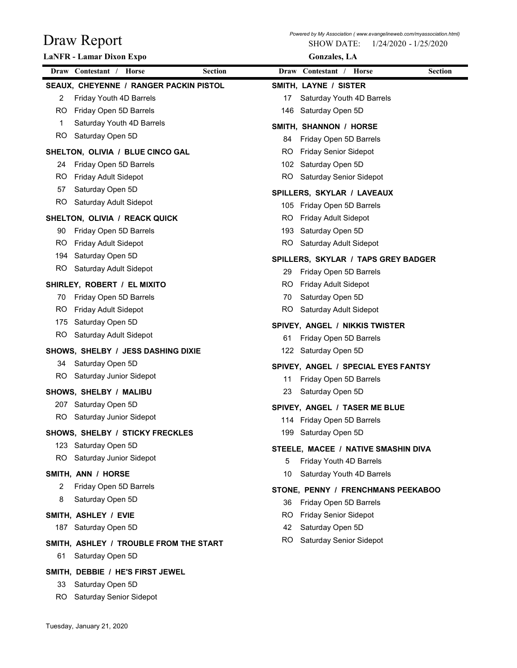| Draw Report                                                            | <b>SHOW DATE:</b><br>1/24/2020 - 1/25/2020                          |                |
|------------------------------------------------------------------------|---------------------------------------------------------------------|----------------|
| LaNFR - Lamar Dixon Expo                                               | <b>Gonzales</b> , LA                                                |                |
| Draw Contestant / Horse<br><b>Section</b>                              | Draw Contestant / Horse                                             | <b>Section</b> |
| SEAUX, CHEYENNE / RANGER PACKIN PISTOL<br>Friday Youth 4D Barrels<br>2 | SMITH, LAYNE / SISTER<br>Saturday Youth 4D Barrels<br>17            |                |
| Friday Open 5D Barrels<br>RO                                           | 146 Saturday Open 5D                                                |                |
| Saturday Youth 4D Barrels                                              |                                                                     |                |
| <b>RO</b><br>Saturday Open 5D                                          | SMITH, SHANNON / HORSE<br>Friday Open 5D Barrels<br>84              |                |
| SHELTON, OLIVIA / BLUE CINCO GAL                                       | <b>Friday Senior Sidepot</b><br>RO.                                 |                |
| Friday Open 5D Barrels<br>24                                           | Saturday Open 5D<br>102                                             |                |
| RO.<br>Friday Adult Sidepot                                            | RO<br>Saturday Senior Sidepot                                       |                |
| Saturday Open 5D<br>57                                                 | SPILLERS, SKYLAR / LAVEAUX                                          |                |
| RO<br>Saturday Adult Sidepot                                           | 105 Friday Open 5D Barrels                                          |                |
| SHELTON, OLIVIA / REACK QUICK                                          | RO.<br>Friday Adult Sidepot                                         |                |
| 90 Friday Open 5D Barrels                                              | 193 Saturday Open 5D                                                |                |
| RO.<br><b>Friday Adult Sidepot</b>                                     | RO<br>Saturday Adult Sidepot                                        |                |
| Saturday Open 5D<br>194                                                | SPILLERS, SKYLAR / TAPS GREY BADGER                                 |                |
| Saturday Adult Sidepot<br>RO                                           | Friday Open 5D Barrels<br>29                                        |                |
| SHIRLEY, ROBERT / EL MIXITO                                            | Friday Adult Sidepot<br>RO.                                         |                |
| Friday Open 5D Barrels<br>70                                           | Saturday Open 5D<br>70                                              |                |
| Friday Adult Sidepot<br>RO.                                            | Saturday Adult Sidepot<br>RO.                                       |                |
| 175<br>Saturday Open 5D                                                | SPIVEY, ANGEL / NIKKIS TWISTER                                      |                |
| <b>RO</b><br>Saturday Adult Sidepot                                    | Friday Open 5D Barrels<br>61                                        |                |
| SHOWS, SHELBY / JESS DASHING DIXIE                                     | 122 Saturday Open 5D                                                |                |
| Saturday Open 5D<br>34                                                 |                                                                     |                |
| Saturday Junior Sidepot<br>RO.                                         | SPIVEY, ANGEL / SPECIAL EYES FANTSY<br>Friday Open 5D Barrels<br>11 |                |
| SHOWS, SHELBY / MALIBU                                                 | Saturday Open 5D<br>23                                              |                |
| Saturday Open 5D<br>207                                                |                                                                     |                |
| Saturday Junior Sidepot<br>RO.                                         | SPIVEY, ANGEL / TASER ME BLUE                                       |                |
|                                                                        | 114 Friday Open 5D Barrels                                          |                |
| SHOWS, SHELBY / STICKY FRECKLES                                        | Saturday Open 5D<br>199                                             |                |
| 123 Saturday Open 5D<br>RO.<br>Saturday Junior Sidepot                 | STEELE, MACEE / NATIVE SMASHIN DIVA                                 |                |
|                                                                        | Friday Youth 4D Barrels<br>5                                        |                |
| SMITH, ANN / HORSE                                                     | Saturday Youth 4D Barrels<br>10                                     |                |
| Friday Open 5D Barrels                                                 | STONE, PENNY / FRENCHMANS PEEKABOO                                  |                |
| Saturday Open 5D<br>8                                                  | Friday Open 5D Barrels<br>36                                        |                |
| SMITH, ASHLEY / EVIE                                                   | <b>Friday Senior Sidepot</b><br>RO.                                 |                |
| Saturday Open 5D<br>187                                                | Saturday Open 5D<br>42                                              |                |
| SMITH, ASHLEY / TROUBLE FROM THE START                                 | Saturday Senior Sidepot<br>RO.                                      |                |
| Saturday Open 5D<br>61                                                 |                                                                     |                |
| SMITH, DEBBIE / HE'S FIRST JEWEL                                       |                                                                     |                |
| Saturday Open 5D<br>33                                                 |                                                                     |                |
| RO.<br>Saturday Senior Sidepot                                         |                                                                     |                |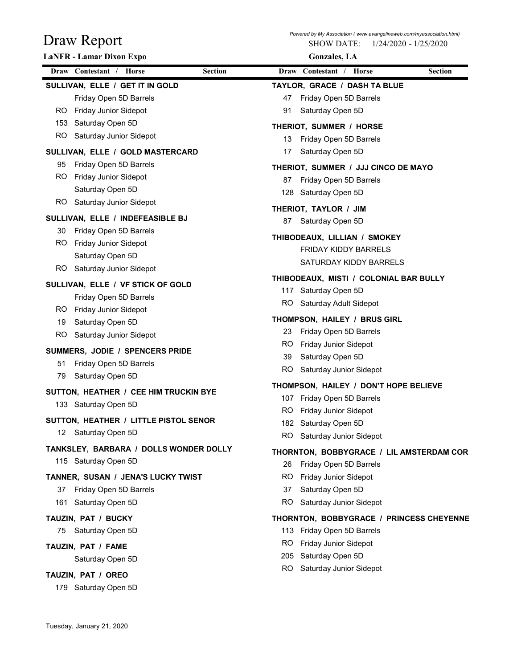| Draw Report                            | <b>SHOW DATE:</b><br>1/24/2020 - 1/25/2020                    |
|----------------------------------------|---------------------------------------------------------------|
| <b>LaNFR</b> - Lamar Dixon Expo        | <b>Gonzales</b> , LA                                          |
| Draw Contestant / Horse<br>Section     | Draw Contestant / Horse<br><b>Section</b>                     |
| SULLIVAN, ELLE / GET IT IN GOLD        | TAYLOR, GRACE / DASH TA BLUE                                  |
| Friday Open 5D Barrels                 | Friday Open 5D Barrels<br>47                                  |
| Friday Junior Sidepot<br>RO.           | Saturday Open 5D<br>91                                        |
| Saturday Open 5D<br>153                | THERIOT, SUMMER / HORSE                                       |
| <b>RO</b><br>Saturday Junior Sidepot   | Friday Open 5D Barrels<br>13                                  |
| SULLIVAN, ELLE / GOLD MASTERCARD       | Saturday Open 5D<br>17                                        |
| Friday Open 5D Barrels<br>95           | THERIOT, SUMMER / JJJ CINCO DE MAYO                           |
| Friday Junior Sidepot<br>RO.           | Friday Open 5D Barrels<br>87                                  |
| Saturday Open 5D                       | Saturday Open 5D<br>128                                       |
| Saturday Junior Sidepot<br>RO.         | THERIOT, TAYLOR / JIM                                         |
| SULLIVAN, ELLE / INDEFEASIBLE BJ       | Saturday Open 5D<br>87                                        |
| 30 Friday Open 5D Barrels              | THIBODEAUX, LILLIAN / SMOKEY                                  |
| RO.<br>Friday Junior Sidepot           | <b>FRIDAY KIDDY BARRELS</b>                                   |
| Saturday Open 5D                       | SATURDAY KIDDY BARRELS                                        |
| RO Saturday Junior Sidepot             | THIBODEAUX, MISTI / COLONIAL BAR BULLY                        |
| SULLIVAN, ELLE / VF STICK OF GOLD      | 117 Saturday Open 5D                                          |
| Friday Open 5D Barrels                 | <b>RO</b><br>Saturday Adult Sidepot                           |
| Friday Junior Sidepot<br>RO.           |                                                               |
| Saturday Open 5D<br>19                 | THOMPSON, HAILEY / BRUS GIRL                                  |
| <b>RO</b><br>Saturday Junior Sidepot   | Friday Open 5D Barrels<br>23                                  |
| SUMMERS, JODIE / SPENCERS PRIDE        | <b>Friday Junior Sidepot</b><br>RO.<br>Saturday Open 5D<br>39 |
| Friday Open 5D Barrels<br>51           | Saturday Junior Sidepot<br>RO.                                |
| Saturday Open 5D<br>79                 |                                                               |
| SUTTON, HEATHER / CEE HIM TRUCKIN BYE  | THOMPSON, HAILEY / DON'T HOPE BELIEVE                         |
| 133 Saturday Open 5D                   | 107 Friday Open 5D Barrels                                    |
| SUTTON, HEATHER / LITTLE PISTOL SENOR  | Friday Junior Sidepot<br>RO.                                  |
| 12 Saturday Open 5D                    | Saturday Open 5D<br>182                                       |
| TANKSLEY, BARBARA / DOLLS WONDER DOLLY | RO.<br>Saturday Junior Sidepot                                |
| 115 Saturday Open 5D                   | THORNTON, BOBBYGRACE / LIL AMSTERDAM COR                      |
|                                        | Friday Open 5D Barrels<br>26                                  |
| TANNER, SUSAN / JENA'S LUCKY TWIST     | <b>Friday Junior Sidepot</b><br>RO.                           |
| Friday Open 5D Barrels<br>37           | Saturday Open 5D<br>37                                        |
| Saturday Open 5D<br>161                | Saturday Junior Sidepot<br>RO.                                |
| TAUZIN, PAT / BUCKY                    | THORNTON, BOBBYGRACE / PRINCESS CHEYENNE                      |
| 75 Saturday Open 5D                    | 113 Friday Open 5D Barrels                                    |
| TAUZIN, PAT / FAME                     | Friday Junior Sidepot<br>RO.                                  |
| Saturday Open 5D                       | 205 Saturday Open 5D                                          |
| TAUZIN, PAT / OREO                     | Saturday Junior Sidepot<br>RO.                                |
| 179 Saturday Open 5D                   |                                                               |